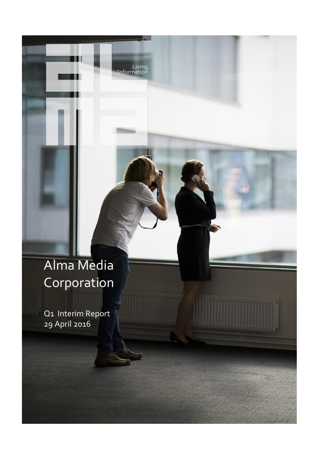Alma Media Corporation Interim Report 29 April 2016 at 9:00 a.m. (EEST)

Alma Media's Interim Report January–March 2016:

## REVENUE AND OPERATING PROFIT EXCLUDING NON-RECURRING ITEMS INCREASED

#### **Financial performance January–March 2016:**

- Revenue was MEUR 86.7 (71.9), up 20.6%.
- Operating profit excluding non-recurring items was MEUR 5.5 (1.9) or 6.4% (2.7%) of revenue, up 189.8%.
- Operating profit was MEUR 2.5 (2.7), or 2.9% (3.7%) of revenue, down 6.4%.
- Earnings per share were EUR 0.01 (0.02).
- At the end of the period, the equity ratio was 55.9% and the gearing ratio 40.3%.
- Alma Markets: The strong development of the national economies of Eastern Central Europe continued, supporting the growth and profitability of the recruitment business.
- Alma Talent: The integration of Talentum's business operations progressed to the implementation phase as planned.
- Alma News & Life: Programmatic buying and mobile advertising saw substantial growth, online sales grew to account for 39% of the business unit's revenue.
- Alma Regions: Profitability improved following restructuring and the divestment of loss-making businesses.

## **Business segments' operating profit excluding non-recurring items, January–March, MEUR (excludes non-allocated functions)**



| <b>KEY FIGURES</b><br><b>MEUR</b>              | 2016<br>Q1 | 2015<br>Q <sub>1</sub> | Change<br>% | 2015<br>$Q_1 - Q_4$ |
|------------------------------------------------|------------|------------------------|-------------|---------------------|
| Revenue                                        | 86.7       | 71.9                   | 20.6        | 291.5               |
| Content revenue                                | 32.9       | 26.0                   | 26.5        | 104.1               |
| Content revenue, print                         | 29.5       | 24.5                   | 20.2        | 97.0                |
| Content revenue, online                        | 3.4        | 1.4                    | 133.2       | 7.1                 |
| Advertising revenue                            | 40.7       | 35.5                   | 14.6        | 148.2               |
| Advertising revenue, print                     | 16.4       | 16.7                   | $-1.9$      | 66.2                |
| Advertising revenue, online                    | 24.3       | 18.8                   | 29.5        | 82.0                |
| Service revenue                                | 13.2       | 10.4                   | 26.3        | 39.2                |
| Total expenses excluding non-recurring items   | 81.4       | 70.0                   | 16.3        | 268.7               |
| EBITDA excluding non-recurring items           | 9.9        | 5.3                    | 86.5        | 37.4                |
| <b>EBITDA</b>                                  | 6.9        | 6.1                    | 13.3        | 34.5                |
| Operating profit excluding non-recurring items | 5.5        | 1.9                    | 189.8       | 23.4                |
| % of revenue                                   | 6.4        | 2.7                    |             | 8.0                 |
| Operating profit (loss)                        | 2.5        | 2.7                    | $-6.4$      | 17.7                |
| % of revenue                                   | 2.9        | 3.7                    |             | 6.1                 |
| Profit for the period                          | 1.6        | 1.8                    | $-12.0$     | 12.1                |
| Earnings per share, EUR                        | 0.01       | 0.02                   | -50.6       | 0.13                |
| Online sales                                   | 31.6       | 24.2                   | 30.7        | 104.2               |
| Online sales, % of revenue                     | 36.4       | 33.6                   |             | 35.7                |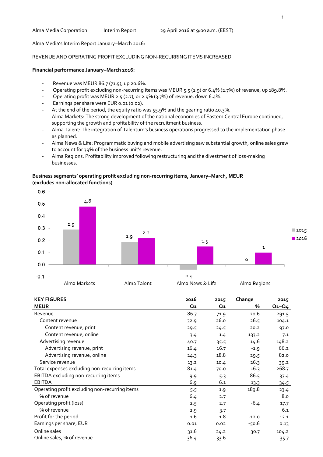#### **Outlook for 2016:**

The Finnish economy is expected to show zero growth or only slight growth in 2016. Alma Media's significant operating countries in Eastern Central Europe, such as the Czech Republic and Slovakia, are expected to see continued economic growth, but at a lower rate than in 2015.

Macroeconomic development affects both consumer demand and advertising volume. The structural transformation of advertising will continue in 2016; online advertising will grow, while print media advertising will decline. Total advertising volume is not expected to increase in Finland in 2016.

The Talentum acquisition completed in late 2015 will increase Alma Media's revenue and operating profit in 2016. In 2016, Alma Media expects its full-year revenue and operating profit excluding non-recurring items to increase from the 2015 level. The full-year revenue for 2015 was MEUR 291.5, and operating profit excluding non-recurring items was MEUR 23.4.

#### **Kai Telanne, President and CEO:**

There were cautiously positive signs in the Finnish economy in the first quarter of 2016. Nevertheless, growth is expected to remain subdued. The macroeconomic outlook in Alma Media's main markets in Eastern Central Europe remained positive.

Alma Media's revenue increased by 21 per cent to MEUR 86.7 due to reasons including the Talentum acquisition. Operating profit excluding non-recurring items rose to MEUR 5.5, which was particularly attributable the improved results of the recruitment business and Iltalehti.

The revenue of the Alma Markets segment increased by 21 per cent, while the operating profit excluding nonrecurring items grew by 65 per cent. The factors behind the positive profit performance again included the excellent development and profitable growth of the international recruitment business in Eastern Central Europe. The domestic operations of Alma Markets also developed favourably.

In Alma Talent, comparable revenue and operating profit excluding non-recurring items remained at the previous year's level. The integration of Talentum's business operations into the new organisation progressed according to plan. Alma Talent is becoming an entity that offers a broad range of media expertise, information services and efficient business and skills development tools. The combined editorial office that is currently in the integration phase will represent the pinnacle of Finnish business journalism.

The ever accelerating technological transformation of advertising is particularly affecting the Alma News & Life segment. Content revenue and the single-copy sales of afternoon papers continued to decline, but the upturn in digital advertising achieved late last year saw the segment's advertising revenue grow by 28 per cent. Operating profit excluding non-recurring items increased significantly and amounted to MEUR 1.5. Online sales grew to account for almost 40 per cent of the Alma News & Life segment's revenue in the first quarter.

Revenue decreased in the Alma Regions segment, but operating profit excluding non-recurring items was boosted by operational restructuring measures aimed at reducing the cost structure of publishing operations. At the same time, Alma Regions continued its determined work on the renewal of the online publications and mobile services of its various media.

Alma Media is making systematic progress in its transformation into a European media and service company. The revised segment structure and the new names of the business units better reflect the nature of the company operating in this digital era.

The development of Alma Media's domestic operating environment was characterised by an expectant mood due to factors such as upcoming decisions on the VAT treatment of digital content. The European Commission has published an Action Plan for making the VAT system more harmonised and flexible, including an initiative to apply a reduced VAT rate to digital content as early as this year. Following the decisions at the EU level, it remains to be seen how committed Finnish policymakers are to the objective outlined in the government programme. An appropriate change in taxation would support the competitiveness of Finnish media companies.

#### **More information, please contact:**

Kai Telanne, President and CEO, telephone +358 10 665 3500 Juha Nuutinen, CFO, telephone +358 010 665 3873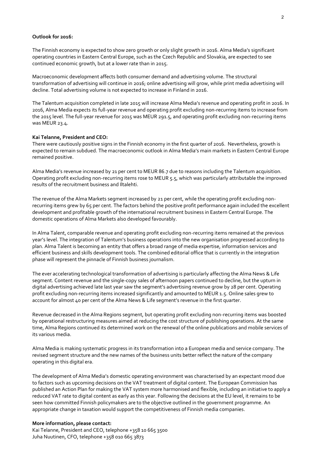# ALMA MEDIA GROUP INTERIM REPORT 1 JANUARY – 31 MARCH 2016

The figures are compared in accordance with the International Financial Reporting Standards (IFRS) with those of the corresponding period in 2015, unless otherwise stated. The figures in the tables are independently rounded.

| <b>KEY FIGURES</b>                             | 2016           | 2015           | Change  | 2015        |
|------------------------------------------------|----------------|----------------|---------|-------------|
| <b>MEUR</b>                                    | Q <sub>1</sub> | Q <sub>1</sub> | %       | $Q_1 - Q_4$ |
| Revenue                                        | 86.7           | 71.9           | 20.6    | 291.5       |
| <b>Operations in Finland</b>                   | 68.7           | 62.1           | 10.6    | 246.9       |
| Operations outside Finland                     | 18.1           | 9.8            | 83.6    | 44.6        |
| Total expenses excluding non-recurring items   | 81.4           | 70.0           | 16.3    | 268.7       |
| EBITDA excluding non-recurring items           | 9.9            | 5.3            | 86.5    | 37.4        |
| <b>EBITDA</b>                                  | 6.9            | 6.1            | 13.3    | 34.5        |
| Operating profit excluding non-recurring items | 5.5            | 1.9            | 189.8   | 23.4        |
| % of revenue                                   | 6.4            | 2.7            |         | 8.0         |
| Operating profit (loss)                        | 2.5            | 2.7            | $-6.4$  | 17.7        |
| % of revenue                                   | 2.9            | 3.7            |         | 6.1         |
| Profit before tax                              | 2.1            | 2.1            | $-12.4$ | 16.8        |
| Profit for the period                          | 1.6            | 1.8            | $-12.0$ | 12.1        |
|                                                |                |                |         |             |
| Return on Equity/ROE (Annual)*                 | 5.3            | 7.5            | $-29.8$ | 10.4        |
| Return on Investment/ROI (Annual)*             | 4.5            | 5.5            | $-17.6$ | 6.9         |
| Balance sheet total                            | 333.7          | 267.4          | 24.8    | 328.2       |
| Capital expenditure                            | 3.3            | 7.2            | $-54.6$ | 60.2        |
| Equity ratio, %                                | 40.3           | 39.4           | 2.3     | 42.5        |
| Gearing, %                                     | 55.9           | 70.0           | $-20.2$ | 59.2        |
| Interest-bearing net debt                      | 67.4           | 67.8           | $-0.6$  | 76.2        |
| Interest-bearing liabilities                   | 91.2           | 84.5           | 7.9     | 90.6        |
| Non-interest-bearing liabilities               | 121.9          | 86.1           | 41.7    | 108.9       |
| Average no. of employees, calculated as full-  |                |                |         |             |
| time employees, excl. delivery staff           | 2,492          | 1,739          | 43.3    | 1,793       |
| Average no. of delivery staff                  | 829            | 954            | $-13.1$ | 929         |
| Share indicators                               |                |                |         |             |
|                                                |                |                |         |             |
| Earnings per share, EUR (undiluted and basic)  | 0.01           | 0.02           | $-50.6$ | 0.13        |
| Cash flow from operating activities/share, EUR | 0.25           | 0.20           | 27.3    | 0.43        |
| Shareholders' equity per share, EUR            | 1.24           | 1.08           | 15.8    | 1.35        |
| Dividend per share, EUR                        |                |                |         | 0.12        |
| Effective dividend yield, %                    |                |                |         | 4.0         |
| P/E Ratio                                      |                |                |         | 23.1        |
| Market capitalisation                          | 280.1          | 216.6          | 29.3    | 247.1       |
| Average no. of shares                          |                |                |         |             |
| $(1,000 \text{ shares})$                       |                |                |         |             |
| - undiluted and basic                          | 82,383         | 75,487         |         | 76,394      |
| No. of shares at the end of the period         |                |                |         |             |
| $(1,000 \text{ shares})$                       | 82,383         | 75,487         |         | 82,383      |

\*) *See Accounting Principles of the Interim Report.*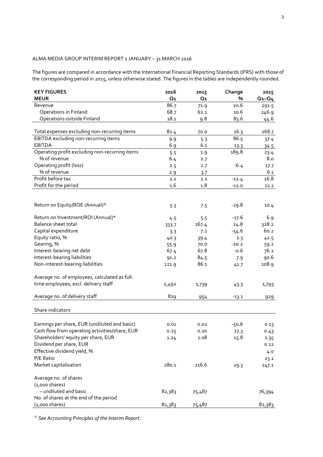#### **Strategy and related activities during the review period**

The cornerstones of Alma Media's strategy are multi-channel content, marketing and advertising solutions, digital services and improving resources and competencies.

Media buying and selling processes are rapidly becoming digitised. The programmatic buying of advertising is seeing strong growth in Finland. The share of programmatic buying has also increased rapidly at Alma Media, and developing programmatic buying is one of the company's focus areas for 2016. The impacts of the increasingly important role played by technology in advertising buying processes include changes the competence needs and resources of Alma Media's sales organisation.

In order to expand the digital service offering, Alma Mediapartners, a subsidiary reported under the Alma Markets segment, acquired a 51% share in NettiKoti, a provider of ERP systems for construction and renovation. The range of automotive services was also complemented by competitive tender services for car servicing.

In countries with strong economic growth, such as the Czech Republic and Slovakia, it has been observed that the highly active labour markets are making potential job applicants more passive and reducing the number of applications for vacancies. Active labour markets call for the continuous development of new job search services. New services launched in the Czech Republic in the review period included a mobile service that provides information on vacancies based on the user's location. Alma Media's local subsidiary also acquired a start-up that develops software technology for recommending colleagues and conveniently sharing job advertisements on social media.

Alma Talent is currently developing its strategy with regard to digital products and services and evaluating its brand portfolio. The first Alma Talent products related to advertising sales are also now being offered to advertisers.

Several measures were implemented in the first quarter to increase the competitiveness of the Alma Regions segment's publishing operations. The segment restructured its customer service and advertising production: following statutory personnel negotiations, the number of employees was reduced by 28 in customer service and 9 in advertising production. In customer service, the use of electronic channels and self-service tools has seen rapid growth, and new digital media products are also changing customer needs.

| Alma Media's financial<br>targets | 2012  | 2013    | 2014    | 2015 | Q <sub>1</sub> / <sub>201</sub> 6 | <b>Target level</b> |
|-----------------------------------|-------|---------|---------|------|-----------------------------------|---------------------|
| Digital business growth           | 36.8% | $8.4\%$ | 11.9%   | 8.7% | 30.7%                             | >15%                |
| Return on Investment<br>(ROI), %  | 13.8% | 10.0%   | $9.8\%$ | 6.9% | $4.5\%$                           | >15%                |
| Dividend payout ratio*            | 45%   | 50%     | 63%     | 92%  | n/a                               | $>50\%$             |

\* Includes repayment of capital to shareholders

## **Combination of Alma Media and Talentum and the delisting of Talentum**

The combination of Alma Media and Talentum progressed from the planning phase to the implementation phase during the review period. In accordance with the combination plan, Talentum's business operations were combined with Alma Media's Financial Media and Business Services unit, and the new business unit's name, Alma Talent, was announced in February. The integration process included business transfers and statutory personnel negotiations commenced in February in Kauppalehti. The negotiations concerned a total of 230 persons. Their aim was to create a new organisational structure that will not have overlapping functions and that will help to shift the focus to digitalising media use in editorial and media sales operations. The restructuring will reduce the amount of work by approximately 33 person-years. The reductions will be achieved primarily through relocation, natural attrition, voluntary retirement and severance packages.

The focus of the business combination has been on combining Talentum's Finnish publishing business with Kauppalehti's media business. The new organisational structure will take effect during the spring as Talentum's editorial staff move to the Alma Media building. The employees of media sales desks have also been combined to create a single Alma Talent sales organisation. Content sales functions have already been combined, and the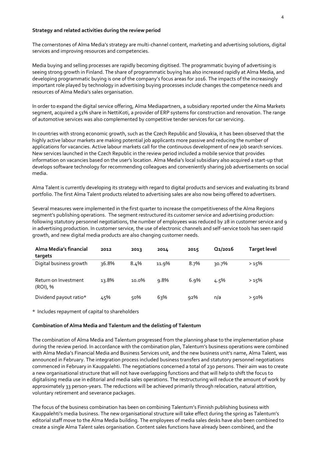related customer service functions will be combined during the spring. Alma Talent has a shared marketing function that is responsible for brand management.

In relation to the delisting of Talentum, Alma Media posted a security approved by the arbitral tribunal in connection with the redemption of the minority shares in Talentum and thus acquired title to all of the outstanding shares in Talentum in accordance with Chapter 18, Section 6 of the Finnish Limited Liability Companies Act. Following the posting of the security, the minority shareholders of Talentum participating in the redemption proceedings are entitled to the redemption price and the interest accruing thereon. The arbitral tribunal will later render its final arbitral award, in which the redemption price will be determined. The Talentum share was delisted from the official list of the Helsinki Stock Exchange on 21 April 2016.

Alma Media reiterates its estimate that the annual cost synergies expected from the combination of Alma Media and Talentum may amount to EUR 4-5 million, and the integration costs resulting from the combination will be approximately EUR 1–2 million in the first year of operation following the combination.

## **Market situation in the main markets**

According to TNS Media Intelligence, the total advertising volume in Finland decreased by 1.3% (decreased by 2.8%) in the first quarter, while advertising in online media increased in Finland by 5.2% (6.1%) in January–March. Advertising in city papers and newspapers declined by 5.6% (declined by 6.2%) in Finland. Advertising in Finnish magazines decreased in January–March by 11.0% (decreased by 14.2%). In terms of volume, the total market for afternoon papers in Finland declined by 14.6% (declined by 11.9%) in the first quarter of 2016.

According to Sveriges Mediebyråer, the total advertising volume in Sweden decreased by 3.0% (decreased by 1.4%) in the first quarter. Advertising in online media grew by 13.9% in Sweden. Advertising in trade magazines in Sweden decreased by 17.4% (decreased by 15.2%).

Alma Media's main markets in Eastern Central Europe are the Czech Republic and Slovakia. According to a forecast by the European Commission, the Czech GDP will grow by 2.3% (4.5%) in 2016. The Czech National Bank estimates that GDP will grow by 2.7% in 2016. In Slovakia, GDP growth in 2015 was 3.5% according to the European Commission, and the Commission's forecast for GDP growth in 2016 is 2.4%. The National Bank of Slovakia estimates GDP growth in 2016 to be 3.2%.

## **Changes in Group structure in 2016**

In January 2016, Alma Media's subsidiary Alma Mediapartners Oy acquired 51 per cent of the share capital of Raksa ja KotiKauppa Oy (NettiKoti) and the acquired business will be consolidated in Alma Media Group in full. NettiKoti provides ERP systems for construction and renovation.

In January 2016, LMC s.r.o, a subsidiary of Alma Career Oy, acquired Jobote s.r.o, a Czech start-up developing and providing new technology in recruitment.

#### **Group revenue and result for January–March 2016**

The Group's first-quarter revenue increased by 20.6% to MEUR 86.7 (71.9). The effect of Talentum Corporation, acquired in November, on the increase in revenue was MEUR 18.4. The Alma360 business, divested in September 2015, represented a decrease in revenue of MEUR -2.7, while the newspapers in Kainuu, divested at the beginning of March 2015, represented a decrease in revenue of MEUR -1.8.

Content revenue increased by 26.5% to MEUR 32.9 (26.0). Talentum's effect on the increase in content revenue was MEUR 9.5. Comparable content revenue declined due to the decline of print subscriptions and single-copy sales.

Revenue from advertising sales increased by 14.6% to MEUR 40.7 (35.5). Online advertising sales increased by 29.5% to MEUR 24.3 (18.8). Advertising sales for print media decreased by 1.9% from the comparison period, to MEUR 16.4 (16.7). Talentum's effect on the increase in advertising revenue was MEUR 3.3.

Service revenue totalled MEUR 13.2 (10.4). Service revenue includes items such as information services, the event and direct marketing business and the printing and distribution services sold to customers outside the Group by Alma Manu.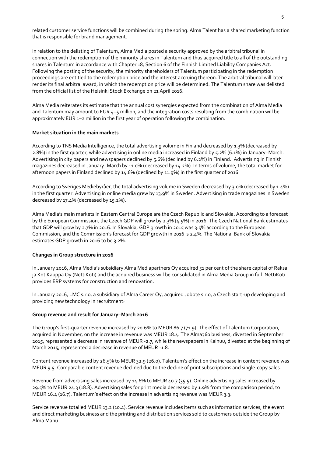Total expenses increased in the first quarter by MEUR 14.4, or 20.5%, to MEUR 84.5 (70.1). Talentum's effect on the increase in total expenses was MEUR 18.9. Depreciation and impairment included in the total expenses amounted to MEUR 4.4 (3.4).

Operating profit excluding non-recurring items was MEUR 5.5 (1.9), or 6.4% (2.7%) of revenue. Operating profit was MEUR 2.5 (2.7), or 2.9% (3.7%) of revenue. The operating profit includes net non-recurring items in the amount of MEUR -3.0 (0.8) related to restructuring. The non-recurring items in the comparison period were mainly related to gains on the sale of assets.

The result for January–March 2016 was MEUR 1.6 (1.8), and the result excluding non-recurring items was MEUR 4.6  $(1.1).$ 

#### **Business segments**

The Group revised its segment reporting effective from the beginning of 2016 and issued a stock exchange release on the matter on 20 April 2016. Changes to the Group's segment reporting:

- New names for the segments
- The business operations of Alma Diverso, which was previously reported under the Digital Consumer Services segment, were transferred to the Alma News & Life and Alma Regions segments.
- The revenue of the E-kontakti business was transferred from Group service revenue to Group advertising revenue.
- In addition, a significant proportion of JM Tieto's revenue will be categorised under online business after being previously categorised as non-online business.

Alma Media's reportable segments are Alma Markets (previously Digital Consumer Services), Alma Talent (previously Financial Media and Business Services), Alma News & Life (previously National Consumer Media) and Alma Regions (previously Regional Media). Centralised services produced by the Group's parent company and Talentum Corporation as well as centralised support services for advertising and digital sales for the entire Group are reported outside segment reporting.

The Group's reportable segments correspond to the Group's operating segments. Operations that produce similar products and services are combined into operating segments due to their uniform profitability and other uniform characteristics.

As the structure and composition of the reportable segments have changed, Alma Media has, in accordance with the IFRS 8 Operating Segments standard, adjusted the corresponding items in segment information for the 2015 comparison period. The effect of the change, as well as segment revenue and operating profit under the previous and newly adopted segment structures, is presented in the tables section of this interim report.

| <b>REVENUE</b>         | 2016           | 2015 | Change | 2015        |
|------------------------|----------------|------|--------|-------------|
| <b>MEUR</b>            | Q <sub>1</sub> | Q1   | %      | $Q_1 - Q_4$ |
| Alma Markets           |                |      |        |             |
| External               | 16.7           | 13.8 |        | 58.7        |
| Inter-segments         | 0.0            | 0.0  |        | 0.3         |
| Alma Markets total     | 16.7           | 13.8 | 20.7   | 59.0        |
| Alma Talent            |                |      |        |             |
| External               | 28.2           | 13.4 |        | 56.3        |
| Inter-segments         | 1.1            | 0.4  |        | 2.2         |
| Alma Talent total      | 29.3           | 13.8 | 112.5  | 58.5        |
| Alma News & Life       |                |      |        |             |
| External               | 7.8            | 9.1  |        | 36.6        |
| Inter-segments         | 3.1            | 1.5  |        | 7.5         |
| Alma News & Life total | 10.9           | 10.6 | 3.0    | 44.1        |

## **REVENUE AND OPERATING PROFIT/LOSS BY SEGMENT**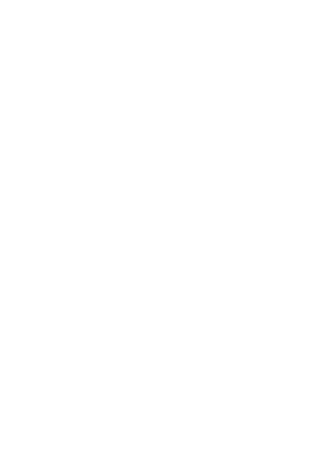| Alma Regions                         |                |                |          |             |
|--------------------------------------|----------------|----------------|----------|-------------|
| External                             | 28.9           | 33.3           |          | 128.1       |
| Inter-segments                       | 1.9            | 1.7            |          | 6.4         |
| Alma Regions total                   | 30.8           | 34.9           | $-11.9$  | 134.5       |
|                                      |                |                |          |             |
| Eliminations and non-allocated       | $-0.9$         | $-1.2$         |          | $-4.6$      |
| Total                                | 86.7           | 71.9           | 20.6     | 291.5       |
| OPERATING PROFIT/LOSS EXCLUDING NON- |                |                |          |             |
| <b>RECURRING ITEMS</b>               | 2016           | 2015           | Change   | 2015        |
| <b>MEUR</b>                          | Q <sub>1</sub> | Q1             | %        | $Q_1 - Q_4$ |
| Alma Markets                         | 4.8            | 2.9            | 65.4     | 13.8        |
| Alma Talent                          | 2.2            | 1.9            | 14.6     | 8.0         |
| Alma News & Life                     | 1.5            | $-0.4$         | 524.6    | 2.8         |
| Alma Regions                         | 1.0            | 0.0            | 3,173.9  | 8.3         |
| Segments total                       | 9.5            | 4.5            | 110.2    | 32.9        |
| Non-allocated                        | $-4.0$         | $-2.6$         | $-52.5$  | $-9.5$      |
| Total                                | 5.5            | 1.9            | 189.8    | 23.4        |
|                                      |                |                |          |             |
| NON-RECURRING ITEMS                  | 2016           | 2015           | Change   | 2015        |
| <b>MEUR</b>                          | O <sub>1</sub> | Q <sub>1</sub> | %        | $Q_1 - Q_4$ |
| Alma Markets                         | 0.0            | 0.0            |          | 0.0         |
| Alma Talent                          | $-1.4$         | 0.6            | $-346.7$ | $-1.0$      |
| Alma News & Life                     | 0.0            | 0.0            |          | $-0.8$      |
| Alma Regions                         | $-1.1$         | 0.2            | $-706.2$ | $-3.6$      |
| Segments total                       | $-2.6$         | 0.8            | $-434.1$ | $-5.5$      |
| Non-allocated                        | $-0.5$         | 0.0            |          | $-0.3$      |
| Total                                | $-3.0$         | 0.8            | $-495.9$ | $-5.7$      |
|                                      |                |                |          |             |
| OPERATING PROFIT/LOSS                | 2016           | 2015           | Change   | 2015        |
| <b>MEUR</b>                          | Q <sub>1</sub> | Q1             | %        | $Q_1 - Q_4$ |
| Alma Markets                         | 4.8            | 2.9            | 65.4     | 13.8        |
| Alma Talent                          | 0.8            | 2.5            | $-68.6$  | 6.9         |
| Alma News & Life                     | 1.5            | $-0.4$         | 524.6    | 1.9         |
| Alma Regions                         | $-0.2$         | 0.2            | $-173.7$ | 4.8         |
| Segments total                       | 7.0            | 5.3            | 31.7     | 27.4        |
| Non-allocated                        | $-4.5$         | $-2.6$         | $-70.4$  | $-9.7$      |
| Total                                | 2.5            | 2.7            | $-6.4$   | 17.7        |
|                                      |                |                |          |             |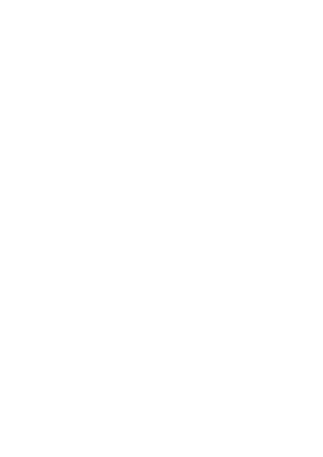#### **Alma Markets**

The recruitment services Monster.fi, Jobs.cz, Prace.cz, CV Online, Profesia.sk, MojPosao.net, Monster.hu, Monsterpolska.pl, Monster.cz and Jobote.com are reported in the Alma Markets segment.

The segment includes several online services: the housing-related services Etuovi.com and Vuokraovi.com, the travel portal Gofinland.fi and the automotive services Autotalli.com, Autosofta and Alkali. Nettikoti, which specialises in software for ERP systems in new construction and renovation, and Kivi, a real estate agency system, are also reported in this segment.

| <b>KEY FIGURES</b>                             | 2016           | 2015           | Change | 2015        |
|------------------------------------------------|----------------|----------------|--------|-------------|
| <b>MEUR</b>                                    | Q <sub>1</sub> | Q <sub>1</sub> | %      | $Q_1 - Q_4$ |
| Revenue                                        | 16.7           | 13.8           | 20.7   | 59.0        |
| Advertising revenue                            | 15.4           | 12.9           | 19.6   | 55.3        |
| Service revenue                                | 1, 3           | 0.9            | 36.3   | 3.7         |
| Total expenses excluding non-recurring items   | 11.9           | 10.9           | 8.8    | 45.4        |
| EBITDA excluding non-recurring items           | 6.1            | 4.2            | 45.9   | 18.8        |
| <b>EBITDA</b>                                  | 6.1            | 4.2            | 45.9   | 18.8        |
| Operating profit excluding non-recurring items | 4.8            | 2.9            | 65.4   | 13.8        |
| % of revenue                                   | 29.0           | 21.2           |        | 23.3        |
| Operating profit                               | 4.8            | 2.9            | 65.4   | 13.8        |
| % of revenue                                   | 29.0           | 21.2           |        | 23.3        |
| Average no. of employees, calculated as full-  |                |                |        |             |
| time employees                                 | 518            | 498            | 4.0    | 502         |
|                                                |                |                |        |             |
| Online sales                                   | 16.7           | 13.8           | 20.7   | 59.0        |
|                                                |                |                |        |             |
| Online sales, % of revenue                     | 100.0          | 100.0          |        | 100.0       |
|                                                |                |                |        |             |
|                                                |                |                |        |             |
| <b>OPERATIONAL KEY FIGURES</b>                 | 2016           | 2015           | Change | 2015        |
|                                                | Q <sub>1</sub> | Q <sub>1</sub> | %      | $Q_1 - Q_4$ |
| Online services, unique browsers, weekly, on   |                |                |        |             |
| average (thousands *)                          |                |                |        |             |
| Etuovi.com                                     | 773.3          | 615.9          | 25.6   | 665.7       |
| Autotalli.com                                  | 126.6          | 128.7          | $-1.6$ | 121.1       |

*\*) The average weekly browser figures for Etuovi.com and Autotalli.com in 2016 are based on visitor volume monitoring produced by Google Analytics, while the figures for 2015 are based on TNS Gallup's monitoring.*

#### **January–March 2016**

In the first quarter of 2016, the Alma Markets segment's revenue increased in both domestic and international operations and amounted to MEUR 16.7 (13.8). Revenue from the recruitment business increased by 20.2% during the review period and accounted for 76.6% (77.0%) of the segment's revenue in the first quarter of 2016.

Total expenses during the review period excluding non-recurring items increased by MEUR 1.0 and amounted to MEUR 11.9 (10.9). The increase was attributable to marketing investments in the recruitment business.

The Alma Markets segment's operating profit excluding non-recurring items was MEUR 4.8 (2.9) in the first quarter. Operating profit excluding non-recurring items was 29.0% (21.2%) of revenue. The segment's operating profit was MEUR 4.8 (2.9).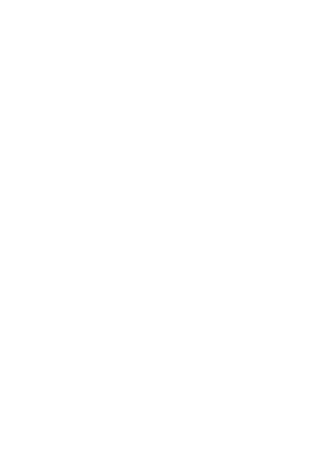#### **Alma Talent**

The Alma Talent business segment publishes 19 trade and financial magazines and newspapers, as well as a variety of books. The business unit also offers skills development and growth services to professionals and businesses in different fields, from events and training to information services. Alma Talent has operations in Finland, Sweden, Denmark and the Baltics. Alma Talent media include Kauppalehti, Talouselämä, Tekniikka & Talous, Markkinointi&Mainonta, Arvopaperi and Tivi. In Sweden, Alma Talent's publications include Affärsvärlden, Ny Teknik and Dagens Media.

| <b>KEY FIGURES</b>                                                     | 2016                   | 2015                   | Change         | 2015                |
|------------------------------------------------------------------------|------------------------|------------------------|----------------|---------------------|
| <b>MEUR</b>                                                            | Q <sub>1</sub>         | Q <sub>1</sub>         | $\%$           | $Q_1 - Q_4$         |
| Revenue                                                                | 29.3                   | 13.8                   | 112.5          | 58.5                |
| Content revenue                                                        | 13.3                   | 4.0                    | 236.6          | 19.7                |
| Advertising revenue                                                    | 7.4                    | 4.0                    | 83.2           | 17.2                |
| Service revenue                                                        | 8.6                    | 5.8                    | 48.3           | 21.6                |
| Total expenses excluding non-recurring items                           | 27.2                   | 11.9                   | 129.7          | 50.7                |
| EBITDA excluding non-recurring items                                   | 3.2                    | 2.1                    | 49.2           | 9.0                 |
| <b>EBITDA</b>                                                          | 1.8                    | 2.7                    | $-35.3$        | 9.1                 |
| Operating profit excluding non-recurring items                         | 2.2                    | 1.9                    | 14.6           | 8.0                 |
| % of revenue                                                           | 7.6                    | 14.0                   |                | 13.6                |
| Operating profit                                                       | 0.8                    | 2.5                    | $-68.6$        | 6.9                 |
| % of revenue                                                           | 2.7                    | 18.2                   |                | 11.9                |
| Average no. of employees, calculated as full-                          |                        |                        |                |                     |
| time employees                                                         | 1,023                  | 238                    | 329.7          | 287                 |
| Online sales                                                           | 8.5                    | 6.2                    | 37.9           | 25.8                |
| Online sales, % of revenue                                             | 29.2                   | 45.0                   |                | 44.1                |
| OPERATIONAL KEY FIGURES                                                | 2016<br>Q <sub>1</sub> | 2015<br>Q <sub>1</sub> | Change<br>$\%$ | 2015<br>$Q_1 - Q_4$ |
| Online services, unique browsers, weekly, on<br>average (thousands) *) |                        |                        |                |                     |
| Kauppalehti.fi                                                         | 1,114.5                | 1,011.8                | 10.1           | 1,026.7             |
| Talouselama.fi                                                         | 304.3                  | 337.3                  | $-9.8$         | 307.8               |
| Audited circulation (thousands)<br>Kauppalehti, print                  |                        |                        |                | 47.7                |

Kauppalehti, online 53.3 Talouselämä, print 75.1 Talouselämä, online 6.7

*\*) The online services' average weekly browser figures are based on TNS Gallup's monitoring data*

#### **January–March 2016**

The Alma Talent segment's revenue increased by 112.5% to MEUR 29.3 (13.8). Online business accounted for 29.2% (45.0%) of the segment's revenue. The Talentum businesses acquired in November 2015 contributed MEUR 18.4 to the increase in revenue. The Alma360 business, divested in September 2015, represented a decrease in revenue of MEUR -2.7.

The content revenue of the Alma Talent segment increased by 236.6% to MEUR 13.3 (4.0). Digital content revenue grew by 113.8% and the increase partly covered the decline in content revenue for print media. The Talentum businesses contributed MEUR 9.5 to the increase in content revenue.

Advertising revenue in the first quarter amounted to MEUR 7.4 (4.0). Online advertising revenue increased by 76.8% year-on-year. The Talentum businesses accounted for MEUR 3.3 of the increase in advertising revenue.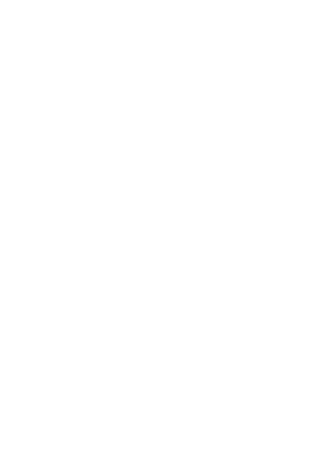The segment's total expenses excluding non-recurring items were MEUR 27.2 (11.9). The Talentum businesses accounted for MEUR 17.8 of the increase in expenses.

The Alma Talent segment's operating profit excluding non-recurring items was MEUR 2.2 (1.9) and operating profit MEUR 0.8 (2.5). Operating profit excluding non-recurring items was 7.6% (14.0%) of revenue. The Talentum businesses contributed MEUR 0.7 to the increase in the segment's result. The non-recurring items in the review period were related to restructuring, while the non-recurring items recognised in the comparison period were related to a sales gain on an acquisition achieved in stages.

Statutory personnel negotiations were held in the Alma Talent segment during the review period, resulting in a reduction in the amount of work by approximately 33 person-years during the next year.

## **Alma News & Life**

The Alma News & Life segment includes the various digital and print news and lifestyle content of the national Iltalehti. The online services Telkku.com, Kotikokki.net and E-kontakti.fi are also reported in this segment.

| <b>KEY FIGURES</b>                                                    | 2016           | 2015           | Change  | 2015        |
|-----------------------------------------------------------------------|----------------|----------------|---------|-------------|
| <b>MEUR</b>                                                           | Q <sub>1</sub> | Q <sub>1</sub> | %       | $Q_1 - Q_4$ |
| Revenue                                                               | 10.9           | 10.6           | 3.0     | 44.1        |
| Content revenue                                                       | 5.5            | 6.4            | $-13.6$ | 24.7        |
| Advertising revenue                                                   | 5.3            | 4.1            | 28.4    | 19.3        |
| Total expenses excluding non-recurring items                          | 9.4            | 10.9           | $-14.2$ | 41.4        |
| EBITDA excluding non-recurring items                                  | 1.6            | $-0.3$         | 602.6   | 2.9         |
| <b>EBITDA</b>                                                         | 1.6            | $-0.3$         | 602.6   | 2.6         |
| Operating profit excluding non-recurring items                        | 1.5            | $-0.4$         | 524.6   | 2.8         |
| % of revenue                                                          | 13.9           | $-3.4$         |         | 6.2         |
| Operating profit                                                      | 1.5            | $-0.4$         | 524.6   | 1.9         |
| % of revenue                                                          | 13.9           | $-3.4$         |         | 4.3         |
| Average no. of employees, calculated as full-                         |                |                |         |             |
| time employees                                                        | 153            | 148            | 2.8     | 158         |
|                                                                       |                |                |         |             |
| Online sales                                                          | 4.3            | 3.2            | 34.1    | 14.9        |
| Online sales, % of revenue                                            | 39.3           | 30.2           |         | 33.8        |
|                                                                       |                |                |         |             |
| <b>OPERATIONAL KEY FIGURES</b>                                        | 2016           | 2015           |         | 2015        |
|                                                                       | Q <sub>1</sub> | Q <sub>1</sub> |         | $Q_1 - Q_4$ |
| Online services, unique browsers, weekly,<br>on average (thousands *) |                |                |         |             |
| Iltalehti.fi                                                          | 5,480.2        | 5,193.3        | 5.5     | 5,523.5     |
| Telkku.com                                                            | 625.9          | 816.7          | $-23.4$ | 723.9       |
|                                                                       |                |                |         |             |

*\*) The online services' average weekly browser figures are based on TNS Gallup's monitoring data*

#### **January–March 2016**

The Alma News & Life segment's revenue increased by 3.0% to MEUR 10.9 (10.6) in January–March as a result of growth in online advertising. Online business accounted for 39.3% (30.2%) of the segment's revenue.

The segment's content revenue declined by 13.6% to MEUR 5.5 (6.4) in January–March, mainly due to the decrease of Iltalehti's circulation.

The segment's advertising revenue increased by  $28.4\%$  to MEUR  $5.3$  ( $4.1$ ). The segment's online advertising revenue increased by 36.1% to MEUR 4.3 (3.1) on the strength of mobile advertising and programmatic buying. Advertising revenue from print media grew by 5.1%.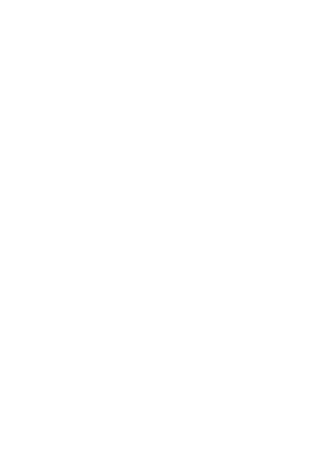The segment's total expenses excluding non-recurring items were MEUR 9.4 (10.9). The decrease in total expenses was particularly attributable to the decrease in printing and distribution costs due to lower print media sales, as well as reduced service purchases in content production.

The segment's operating profit excluding non-recurring items was MEUR 1.5 (-0.4), or 13.9% (-3.4%) of revenue. No non-recurring expenses were reported during the review period.

#### **Alma Regions**

The print and online publishing business of Aamulehti, Satakunnan Kansa, Lapin Kansa/Pohjolan Sanomat and several local and town papers is reported in the Alma Regions segment. The printing and distribution unit Alma Manu is also included in this segment.

| <b>KEY FIGURES</b>                             | 2016           | 2015           | Change   | 2015        |
|------------------------------------------------|----------------|----------------|----------|-------------|
| <b>MEUR</b>                                    | Q <sub>1</sub> | Q <sub>1</sub> | $\%$     | $Q_1 - Q_4$ |
| Revenue                                        | 30.8           | 34.9           | $-11.9$  | 134.5       |
| Content revenue                                | 14.1           | 15.7           | $-10.4$  | 59.8        |
| Advertising revenue                            | 12.6           | 14.5           | $-12.8$  | 56.4        |
| Service revenue                                | 4.1            | 4.8            | $-14.2$  | 18.3        |
| Total expenses excluding non-recurring items   | 29.8           | 34.9           | $-14.5$  | 126.4       |
| EBITDA excluding non-recurring items           | 1.8            | 0.9            | 103.7    | 11.8        |
| <b>EBITDA</b>                                  | 0.7            | 1.1            | $-35.2$  | 9.3         |
| Operating profit excluding non-recurring items | 1.0            | 0.0            | 3,173.9  | 8.3         |
| % of revenue                                   | 3.1            | 0.1            |          | 6.2         |
| Operating profit                               | $-0.2$         | 0.2            | $-173.7$ | 4.8         |
| % of revenue                                   | $-0.5$         | 0.6            |          | 3.5         |
|                                                |                |                |          |             |
| Average no. of employees, calculated as full-  |                |                |          |             |
| time employees, excl. delivery staff           | 616            | 689            | $-10.6$  | 677         |
| Average no. of delivery staff                  | 829            | 954            | $-13.1$  | 929         |
| Online sales                                   | 2.0            | 1.0            | 103.0    | 4.8         |
| Online sales, % of revenue                     | 6.5            | 2.8            |          | 3.6         |
|                                                |                |                |          |             |
| OPERATIONAL                                    | 2016           | 2015           |          | 2015        |
| <b>KEY FIGURES</b>                             | Q <sub>1</sub> | Q <sub>1</sub> |          | $Q_1 - Q_4$ |
| Online services, unique browsers, weekly, on   |                |                |          |             |
| average (thousands *)                          |                |                |          |             |
| Aamulehti.fi                                   | 633.8          | 451.4          | 40.4     | 544.4       |
|                                                |                |                |          |             |
| Audited circulation (thousands)                |                |                |          |             |
| Aamulehti                                      |                |                |          | 100.2       |
|                                                |                |                |          |             |
| Printing volume (in thousands)                 | 67,036         | 64,758         |          | 277,578     |
| Paper usage (tonnes)                           | 5,969          | 5,729          |          | 23,966      |

*\*) The online services' average weekly browser figures are based on TNS Gallup's monitoring data*

#### **January–March 2016**

The Alma Regions segment's revenue amounted to MEUR 30.8 (34.9) in January–March. Online business accounted for 6.5% (2.8%) of the segment's revenue. The divestment of the newspaper business in Kainuu in early 2015 had an effect of MEUR -1.8 on the segment's decline in revenue.

The segment's content revenue declined by 10.4% to MEUR 14.1 (15.7) in January–March due to Easter falling in March in 2016 and changes to the publication dates of local papers.

The segment's advertising revenue declined by 12.8% to MEUR 12.6 (14.5). Advertising revenue from print media decreased by 15.2%. The segment's online advertising revenue increased by 46.1% to MEUR 0.9 (0.6).

The segment's service revenue declined by  $14.2\%$  to MEUR  $4.1$  ( $4.8$ ). The Group's external sales of printing services declined in low-margin volume-linked printed products.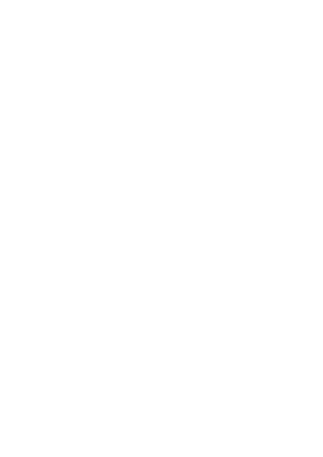The segment's total expenses excluding non-recurring items were MEUR 29.8 (34.9) and total expenses MEUR 31.0 (35.0). The factors contributing to the decline in total expenses included efficiency improvement measures for newspapers as well as printing operations.

The segment's operating profit excluding non-recurring items was MEUR 1.0 (0.0) and operating profit MEUR -0.2 (0.2). Operating profit excluding non-recurring items was 3.1% (0.1%) of revenue. Non-recurring restructuring expenses recognised in the review period amounted to MEUR 1.1. The non-recurring items in the comparison period were related to a sales gain on real estate.

Alma Regions restructured its customer service and advertisement production functions during the review period. The changes led to the dismissal of 37 employees.

#### **Associated companies**

In January 2016, Alma Media's subsidiary Alma Mediapartners Oy acquired 24% of the share capital of AutoJerry Oy, which offers competitive tender services for car servicing.

#### **SHARE OF PROFIT OF ASSOCIATED**

| <b>COMPANIES</b>           | 2016 | 2015 | 2015        |
|----------------------------|------|------|-------------|
| <b>MEUR</b>                | Q1   | Q1   | $Q_1 - Q_4$ |
| Alma Markets               | 0.1  | 0.0  | 0.3         |
| Alma Talent                | 0.1  | 0.2  | 1.0         |
| Alma News & Life           | 0.0  | 0.0  | 0.0         |
| Alma Regions               | 0.0  | 0.0  | 0.0         |
| Other associated companies | 0.1  | 0.1  | 0.3         |
| Total                      | 0.3  | 0.3  | 1.6         |

*\* Alma Talent's figures for the comparison period include Alma Media Group's share of the result of Talentum Corporation.*

#### **Non-recurring items**

A non-recurring item is a comprehensive income or expense arising from non-recurring or rare events. Gains or losses from the sale or discontinuation of business operations or assets, gains or losses from restructuring business operations as well as impairment losses of goodwill and other assets are recognised as non-recurring items. Nonrecurring items are recognised in the profit and loss statement within the corresponding income or expense group.

| <b>NON-RECURRING ITEMS</b>           | 2016   | 2015   | 2015        |
|--------------------------------------|--------|--------|-------------|
| <b>MEUR</b>                          | Q1     | Q1     | $Q_1 - Q_4$ |
| Alma Markets                         |        |        |             |
| Impairment losses                    | 0.0    | 0.0    | 0.0         |
| Restructuring                        | 0.0    | 0.0    | 0.0         |
| Gains on the sale of assets          | 0.0    | 0.0    | 0.0         |
| Alma Talent                          |        |        |             |
| Impairment losses                    | 0.0    | 0.0    | $-1.2$      |
| Restructuring                        | $-1.4$ | 0.0    | 0.0         |
| Gains (losses) on the sale of assets | 0.0    | 0.6    | 0.2         |
|                                      |        |        |             |
| Alma News & Life                     |        |        |             |
| Impairment losses                    | 0.0    | 0.0    | $-0.5$      |
| Restructuring                        | 0.0    | 0.0    | $-0.3$      |
| Gains (losses) on the sale of assets | 0.0    | 0.0    | 0.0         |
|                                      |        |        |             |
| Alma Regions                         |        |        |             |
| Impairment losses                    | 0.0    | 0.0    | $-1.1$      |
| Restructuring                        | $-1.1$ | $-0.1$ | $-2.8$      |
| Gains (losses) on the sale of assets | 0.0    | 0.3    | 0.3         |
| Non-allocated                        |        |        |             |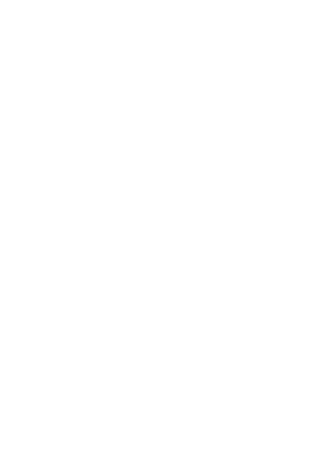| Costs related to the Talentum acquisition |        |     | -1.8 |
|-------------------------------------------|--------|-----|------|
| Gains (losses) on the sale of assets      | 0.0    | 0.0 | 2.0  |
| NON-RECURRING ITEMS IN OPERATING PROFIT   | $-3.0$ | 0.8 | -5.7 |
| NON-RECURRING ITEMS IN PROFIT BEFORE TAX  | $-3.0$ | 0.8 | -5.7 |

## **Balance sheet and financial position**

At the end of March 2016, the consolidated balance sheet stood at MEUR 333.7 (267.4). The Group's equity ratio at the end of March was 40.3% (39.4%) and equity per share was EUR 1.24 (1.08).

Consolidated cash flow from operations in January–March was MEUR 20.6 (14.9). Cash flow before financing was MEUR 18.7 (12.3).

At the end of March, the Group's interest-bearing debt amounted to MEUR 91.2 (84.5). The total interest-bearing debt at the end of March comprised MEUR 63.8 in finance leasing debt, MEUR 15.4 in loans from financial institutions and MEUR 12.0 in commercial papers. The Group's interest-bearing net debt at the end of March stood at MEUR 67.4 (67.8).

Alma Media has two MEUR 15.0 and one MEUR 20.0 committed financing limits at its disposal, which were entirely unused on 31 March 2016. In addition, the company has a commercial paper programme of MEUR 100 in Finland. Of the commercial paper programme, MEUR 12.0 was in use on 31 March 2016.

Alma Media did not have financial assets or liabilities created in conjunction with business combinations measured at fair value and recognised through profit or loss on 31 March 2016. Financial liabilities measured at fair value and recognised through profit or loss amounted to MEUR 1.4 (2.9).

## **Capital expenditure**

Alma Media Group's capital expenditure in January–March 2016 totalled MEUR 3.3 (7.2). The capital expenditure mainly consisted of the acquisitions of Jobote s.r.o. and Raksa ja KotiKauppa Oy, as well as normal operating and maintenance investments.

| <b>CAPITAL EXPENDITURE BY SEGMENT</b> | 2016 | 2015 | 2015        |
|---------------------------------------|------|------|-------------|
| <b>MEUR</b>                           | Q1   | Q1   | $Q_1 - Q_4$ |
| Alma Markets                          | 1.9  | 0.2  | 3.1         |
| Alma Talent                           | 0.4  | 6.2  | 53.7        |
| Alma News & Life                      | 0.0  | 0.1  | 0.4         |
| Alma Regions                          | 0.4  | 0.3  | 1.4         |
| Segments total                        | 2.8  | 6.8  | 58.6        |
| Non-allocated                         | 0.5  | 0.4  | 1.6         |
| Total                                 | 3.3  | 7.2  | 60.2        |

#### **Governance**

Alma Media Corporation's Annual General Meeting held on 17 March 2016 decided that, of the current Board members, Niklas Herlin, Esa Lager, Petri Niemisvirta, Catharina Stackelberg-Hammarén and Harri Suutari be reelected for a new term of office, extending until the end of the next AGM. The Managing Director of Ilkka Yhtymä Oyj, Matti Korkiatupa, and Head of Business Analytics in Devices Marketing at Microsoft, Mitti Storckovius, were elected as new Board members for the same term. In its constitutive meeting held after the AGM, the Board of Directors elected Harri Suutari as its Chairman and Petri Niemisvirta as its Vice Chairman.

The Board of Directors also appointed the members to its permanent committees. Matti Korkiatupa and Catharina Stackelberg-Hammarén were elected as members of the Audit Committee and Esa Lager as Chairman of the Committee. Niklas Herlin, Harri Suutari and Mitti Storckovius were elected as members of the Nomination and Compensation Committee, and Petri Niemisvirta was elected Chairman of the Committee.

The Board of Directors has assessed that with the exception of Matti Korkiatupa, Esa Lager and Niklas Herlin, the members of the Board are independent of the company and its significant shareholders. The aforementioned members are assessed to be independent of the company but not independent of its significant shareholders.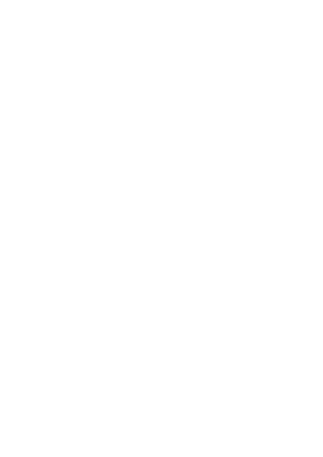Mikko Korttila, General Counsel of Alma Media Corporation, was appointed secretary to the Board of Directors.

The AGM appointed PricewaterhouseCoopers Oy as the company's auditors, with Markku Launis, APA, as the principal auditor.

Alma Media Corporation began applying the Finnish Corporate Governance Code 2015 for listed companies in its unaltered form from 1 January 2016 onwards. The Remuneration Statement for 2015 was published on 12 February 2016 on the company's website at www.almamedia.com/investors.

The Corporate Governance Statement is available on the company's website at www.almamedia.com/investors.

#### **Dividends**

In accordance with the proposal of the Board of Directors, the AGM resolved that no dividend be paid for the financial year 2015. The company has no retained earnings.

#### **Use of the invested non-restricted equity fund**

In accordance with the proposal of the Board of Directors, the AGM resolved that EUR 70,092,000 be used from the reserve for invested non-restricted equity, complying with the company's balance sheet of 31 December 2015, to cover losses. The covering of losses will improve the preconditions for the distribution of profit in future financial periods.

## **Capital repayment**

In accordance with the proposal of the Board of Directors, the AGM resolved to distribute EUR 0.12 per share as capital repayments from the reserve for invested non-restricted equity. At the time of the AGM, the company had 82,383,182 shares, translating into a repayment amount of EUR 9,885,981.84. Capital repayments were paid to shareholders registered in Alma Media Corporation's shareholder register, maintained by Euroclear Finland Ltd, on the record date of the payment, 21 March 2016. The capital repayments were paid on 30 March 2016 as proposed by the Board of Directors.

#### **Other decisions by the Annual General Meeting**

The AGM authorised the Board of Directors to decide on the repurchase of a maximum of 824,000 shares in one or more lots. The proposed maximum authorised quantity represents approximately one (1) per cent of the company's entire share capital. The shares shall be acquired using the company's non-restricted shareholders' equity through trading in a regulated market arranged by NASDAQ Helsinki and in accordance with its rules and instructions, which is why the acquisition is directed, that is, the shares are purchased otherwise than in proportion to shareholders' current holdings. The price paid for the shares shall be based on the price of the company share in the regulated market, so that the minimum price of purchased shares is the lowest market price of the share quoted in the regulated market during the term of validity of the authorisation and the maximum price, correspondingly, the highest market price quoted in the regulated market during the term of validity of the authorisation. Shares may be purchased for the purpose of improving the company's capital structure, financing or carrying out corporate acquisitions or other arrangements, implementing incentive schemes for the management or key employees, or to be otherwise transferred or cancelled. It is proposed that the authorisation be valid until the following Annual General Meeting, but no longer than until 30 June 2017.

The AGM authorised the Board of Directors to decide on a share issue by transferring shares in possession of the company. A maximum of 824,000 shares may be issued on the basis of the authorisation. The proposed maximum authorised quantity represents approximately one (1) per cent of the company's entire share capital. The authorisation entitles the Board to decide on a directed share issue, which entails deviating from the pre-emption rights of shareholders. The Board can use the authorisation in one or more parts. The Board of Directors may use the authorisation to implement incentive programmes for the management or key employees of the company. It is proposed that the authorisation be valid until the following Annual General Meeting, but no longer than until 30 June 2017. This authorisation overrides the share issue authorisation granted at the Annual General Meeting of 17 March 2015.

The AGM authorised the Board of Directors to decide on a share issue. The authorisation would entitle the Board to issue a maximum of 16,500,000 shares. The proposed maximum amount of shares corresponds to approximately 20 per cent of the total number of shares in the company. The share issue may be implemented by issuing new shares or transferring shares now in possession of the company. The authorisation entitles the Board to decide on a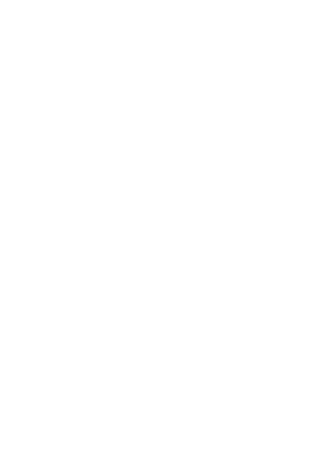directed share issue, which entails deviating from the pre-emption rights of shareholders. The Board can use the authorisation in one or more parts.

The Board may use the authorisation for developing the capital structure of the company, widening the ownership base, financing or realising acquisitions or other arrangements, or for other purposes decided on by the Board. The authorisation may not, however, be used to implement incentive programmes for the management or key employees of the company. The authorisation is valid until the following ordinary Annual General Meeting, but no longer than until 30 June 2017. This authorisation overrides the share issue authorisation granted at the Annual General Meeting of 17 March 2015, but not the share issue authorisation mentioned above.

### **The Alma Media share**

In January–March, altogether 1,437,772 Alma Media shares were traded on the NASDAQ Helsinki stock exchange, representing 1.7% of the total number of shares. The closing price of the Alma Media share at the end of the last trading day of the reporting period, 31 March 2016, was EUR 3.40. The lowest quotation during the review period was EUR 2.95 and the highest EUR 3.50. Alma Media Corporation's market capitalisation at the end of the review period was MEUR 280.1.

#### **Option programme and share-based incentive programme**

Alma Media's option programme 2009 ended on 31 March 2016.

The Board of Directors of Alma Media Corporation approved in 2015 the establishment of a new long-term sharebased incentive programme for the key management of Alma Media and, in March 2016, decided to launch the share-based incentive programme (LTI 2016) based on it in 2016. The share-based incentive programme consists of annually commencing individual plans, each subject to separate Board approval. Each of the individual plans consists of three main elements: an investment in Alma Media shares as a precondition for participation in the scheme, matching shares based on the above share investment and the possibility of earning performance-based matching shares. At most 43 people are eligible to participate in LTI 2016 and 35 people in LTI 2015.

#### **Other authorisations of the Board of Directors**

The Board of Directors has no other current authorisations.

#### **Market liquidity guarantee**

The Alma Media share has no market liquidity guarantee in effect.

#### **Flagging notices**

In the first quarter of 2016, Alma Media did not receive notices of changes in shareholdings pursuant to Chapter 9, Section 5 of the Finnish Securities Markets Act.

#### **Risks and risk management**

At Alma Media Group, the task of risk management is to detect, evaluate and monitor business opportunities, threats and risks to ensure the achievement of objectives and business continuity. The risk management process identifies and controls the risks, develops appropriate risk management methods and regularly reports on risk issues to the risk management organisation and the Board of Directors. Risk management is part of Alma Media's internal control function and thereby part of good corporate governance.

The most critical strategic risks for Alma Media are a significant drop in its print newspaper readership, a permanent decline in advertising sales and a significant increase in distribution and delivery costs. The group subscriptions of the major financial and technology-related magazines are significant in scale. Changes to the subscription agreements could have a substantial impact on the magazines' total subscription volumes. The media industry is undergoing changes following the transformation in media consumption and technological development. Alma Media's strategic objective is to meet this challenge through renewal and the development of new business in digital consumer and business services.

Fluctuating economic cycles are reflected in the development of advertising sales. Advertising sales account for approximately half of the Group's revenue. Business operations outside Finland, such as in Eastern and Central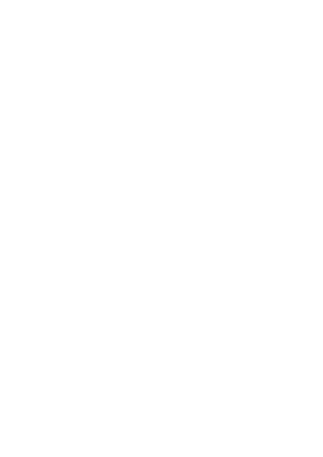European countries, include country-specific risks relating to market development and economic growth. The expansion of business outside Finland has reduced the risks inherent in operating in one market area.

Disturbances of information technology and communications as well as disruption of printing are the most important operational risks.

#### **Events after the review period**

On 1 April 2016, Alma Media Corporation increased its share in Rantapallo Oy from 35 to 79 per cent. The shares were acquired from TukTuk Media Oy and EX VM Oy. [Rantapallo.fi](http://rantapallo.fi/) is a comprehensive online travel service established in 2007 to provide information, inspiration and services to online readers interested in travel and tourism. Rantapallo Oy's turnover in 2015 totalled MEUR 1.3.

**ALMA MEDIA CORPORATION Board of Directors**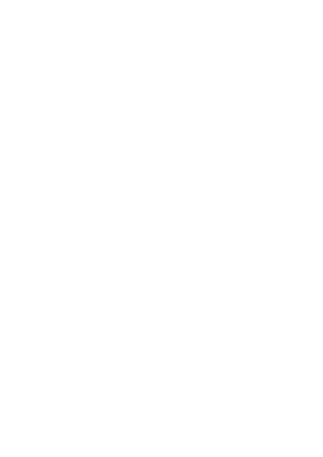## SUMMARY OF INTERIM REPORT AND NOTES

| <b>COMPREHENSIVE INCOME STATEMENT</b>                 | 2016           | 2015 | Change  | 2015        |
|-------------------------------------------------------|----------------|------|---------|-------------|
| <b>MEUR</b>                                           | Q <sub>1</sub> | Q1   | %       | $Q_1 - Q_4$ |
| <b>REVENUE</b>                                        | 86.7           | 71.9 | 20.6    | 291.5       |
| Other operating income                                | 0.2            | 0.9  | $-73.4$ | 3.6         |
| Materials and services                                | 18.3           | 19.2 | $-4.5$  | 69.6        |
| Employee benefits expense                             | 41.1           | 31.2 | 31.8    | 124.1       |
| Depreciation, amortisation and impairment             | 4.4            | 3.4  | 28.8    | 16.8        |
| Other operating expenses                              | 20.6           | 16.3 | 26.6    | 66.9        |
| <b>OPERATING PROFIT</b>                               | 2.5            | 2.7  | $-6.4$  | 17.7        |
| Finance income                                        | 0.1            | 0.1  | $-6.9$  | 0.3         |
| Finance expenses                                      | 0.8            | 0.6  | 26.4    | 2.8         |
| Share of profit of associated companies               | 0.3            | 0.3  | 15.5    | 1.6         |
| PROFIT BEFORE TAX                                     | 2.1            | 2.4  | $-12.4$ | 16.8        |
| Income tax                                            | 0.5            | o.6  | $-13.6$ | 4.7         |
| PROFIT FOR THE PERIOD                                 | 1.6            | 1.8  | $-12.0$ | 12.1        |
|                                                       |                |      |         |             |
| OTHER COMPREHENSIVE INCOME:                           |                |      |         |             |
| Items that are not later transferred to be recognised |                |      |         |             |
| through profit or loss                                |                |      |         |             |
|                                                       |                |      |         |             |
| Items arising due to the redefinition of net defined  |                |      |         |             |
| benefit liability (or asset item)                     | 0.0            | 0.0  |         | 1.2         |
| Tax on items that are not later transferred to be     |                |      |         |             |
| recognised through profit or loss                     | 0.0            | 0.0  |         | $-0.2$      |
| Items that may later be transferred to be recognised  |                |      |         |             |
| through profit or loss                                |                |      |         |             |
| <b>Translation differences</b>                        | $-0.1$         | 0.3  |         | 1.0         |
| Share of other comprehensive income of associated     |                |      |         |             |
| companies                                             | 0.0            | 0.1  |         | 0.1         |
| Income tax relating to components of other            |                |      |         |             |
| comprehensive income                                  | 0.0            | 0.0  |         | 0.0         |
|                                                       |                |      |         |             |
| Other comprehensive income for the year, net of tax   | $-0.1$         | 0.3  |         | 2.1         |
| TOTAL COMPREHENSIVE INCOME FOR THE PERIOD             | 1.5            | 2.2  |         | 14.2        |
|                                                       |                |      |         |             |
| Profit for the period attributable to:                |                |      |         |             |
| - Owners of the parent                                | 0.8            | 1.4  |         | 9.9         |
| - Non-controlling interest                            | 0.9            | 0.4  |         | 2.1         |
|                                                       |                |      |         |             |
| Total comprehensive income for the period             |                |      |         |             |
| attributable to:                                      |                |      |         |             |
| - Owners of the parent                                | 0.7            | 1.7  |         | 11.9        |
| - Non-controlling interest                            | 0.9            | 0.4  |         | 2.3         |
|                                                       |                |      |         |             |
| Earnings per share calculated from the profit for the |                |      |         |             |
| period attributable to the parent company             |                |      |         |             |
| shareholders:                                         |                |      |         |             |
|                                                       |                |      |         |             |
| - Earnings per share (basic and diluted), EUR         | 0.01           | 0.02 |         | 0.13        |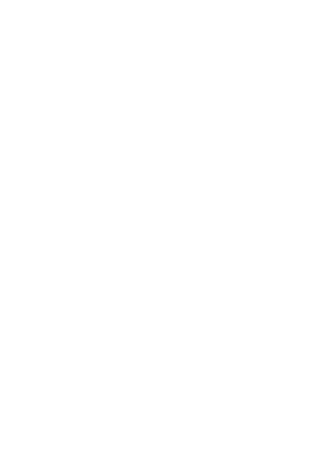| <b>BALANCE SHEET</b>                 |             |             |             |
|--------------------------------------|-------------|-------------|-------------|
| <b>MEUR</b>                          | 31 Mar 2016 | 31 Mar 2015 | 31 Dec 2015 |
| <b>ASSETS</b>                        |             |             |             |
| NON-CURRENT ASSETS                   |             |             |             |
| Goodwill                             | 119.2       | 73.7        | 118.6       |
| Other intangible assets              | 71.2        | 38.8        | 72.3        |
| Tangible assets                      | 69.0        | 74.8        | 70.5        |
| Investments in associated            |             |             |             |
| companies                            | 6.8         | 24.7        | 6.8         |
| Other non-current financial assets   | 4.6         | 3.9         | 4.6         |
| Deferred tax assets                  | 1.6         | 1.4         | 1.6         |
| <b>CURRENT ASSETS</b>                |             |             |             |
| Inventories                          | 2.2         | 1.0         | 2.2         |
| Current tax assets                   | 0.2         | 1.9         | 1.8         |
| Trade receivables and other          |             |             |             |
| receivables                          | 35.1        | 30.5        | 35.3        |
| Cash and cash equivalents            | 23.8        | 16.7        | 14.4        |
| <b>TOTAL ASSETS</b>                  | 333.7       | 267.4       | 328.2       |
| <b>MEUR</b>                          | 31 Mar 2016 | 31 Mar 2015 | 31 Dec 2015 |
| <b>EQUITY AND LIABILITIES</b>        |             |             |             |
| Share capital                        | 45.3        | 45.3        | 45.3        |
| Share premium reserve                | 7.7         | 7.7         | 7.7         |
| <b>Translation differences</b>       | $-1.7$      | $-2.3$      | $-1.6$      |
| Invested non-restricted equity fund  | 19.1        | 0.0         | 19.1        |
| Retained earnings                    | 32.1        | 30.4        | 41.0        |
| Equity attributable to owners of     |             |             |             |
| the parent                           | 102.6       | 81.2        | 111.5       |
| Non-controlling interest             | 18.1        | 15.6        | 17.2        |
| <b>TOTAL EQUITY</b>                  | 120.6       | 96.8        | 128.7       |
|                                      |             |             |             |
| <b>LIABILITIES</b>                   |             |             |             |
| NON-CURRENT LIABILITIES              |             |             |             |
| Non-current interest-bearing         |             |             |             |
| liabilities                          | 69.4        | 69.8        | 63.1        |
| Deferred tax liabilities             | 13.7        | 7.2         | 14.2        |
| <b>Pension liabilities</b>           | 1.5         | 2.7         | 1.5         |
| Provisions                           | 0.3         | 0.0         | 0.2         |
| Other financial liabilities          | 0.0         | 0.0         | 0.2         |
| Other non-current liabilities        | 0.2         | 0.3         | 0.2         |
| <b>CURRENT LIABILITIES</b>           |             |             |             |
| <b>Current financial liabilities</b> | 23.2        | 18.3        | 28.5        |
| Advances received                    | 34.2        | 21.4        | 25.3        |
| Income tax liability                 | 0.1         | 0.0         | 2.2         |
| Provisions                           | 0.7         | 0.3         | o.6         |
| Trade payables and other payables    | 69.7        | 50.5        | 63.5        |
| <b>TOTAL LIABILITIES</b>             | 213.1       | 170.5       | 199.5       |
| TOTAL EQUITY AND LIABILITIES         | 333-7       | 267.4       | 328.2       |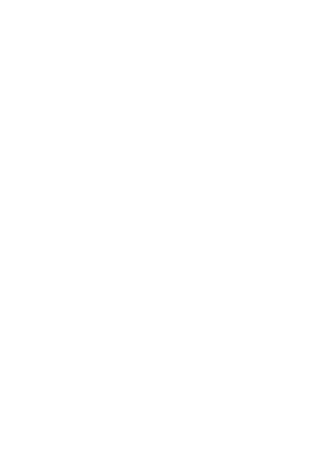## **CONSOLIDATED STATEMENT OF CHANGE IN EQUITY**

Column headings:

- A = Share capital
- B = Share premium reserve
- C = Translation differences
- D = Invested non-restricted equity fund
- E = Retained earnings
- F = Total
- G = Non-controlling interest
- H = Equity total

| Equity attributable to owners of the parent           |      |     |        |      |        |        |      |        |
|-------------------------------------------------------|------|-----|--------|------|--------|--------|------|--------|
| <b>MEUR</b>                                           | A    | B   | C      | D    | Е      | E      | G    | Н      |
| Equity on 1 Jan 2016                                  | 45.3 | 7.7 | $-1.6$ | 19.1 | 41.0   | 111.5  | 17.2 | 128.7  |
| Profit for the period                                 |      |     |        |      | 0.8    | 0.8    | 0.9  | 1.6    |
| Other comprehensive income                            |      |     | $-0.1$ |      | 0.0    | $-0.1$ | 0.0  | $-0.1$ |
| Transactions with equity holders                      |      |     |        |      |        |        |      |        |
| Dividends paid by parent                              |      |     |        |      | $-9.7$ | $-9.7$ |      | $-9.7$ |
| Dividends paid by subsidiaries                        |      |     |        |      |        |        | 0.0  | 0.0    |
|                                                       |      |     |        |      |        |        |      |        |
| Share-based payment transactions and                  |      |     |        |      |        |        |      |        |
| exercised share options                               |      |     |        |      | 0.1    | 0.1    |      | 0.1    |
| <b>Business combinations</b>                          |      |     |        |      | 0.0    | 0.0    | 0.0  | 0.0    |
| Share of items recognised in the equity of associated |      |     |        |      |        |        |      |        |
| companies                                             |      |     |        |      | 0.0    | 0.0    | 0.0  | 0.0    |
| Equity on 31 Mar 2016                                 | 45.3 | 7.7 | $-1.7$ | 19.1 | 32.1   | 102.5  | 18.1 | 120.6  |
|                                                       |      |     |        |      |        |        |      |        |
| <b>MEUR</b>                                           |      |     |        |      |        |        |      |        |
| Equity on 1 Jan 2015                                  | 45.3 | 7.7 | $-2.5$ | 0.0  | 38.0   | 88.5   | 15.2 | 103.7  |
| Profit for the period                                 |      |     |        |      | 1.4    | 1.4    | 0.4  | 1.8    |
| Other comprehensive income                            |      |     | 0.3    |      | 0.1    | 0.3    |      | 0.3    |
| Transactions with equity holders                      |      |     |        |      |        |        |      |        |
| Dividends paid by parent                              |      |     |        |      | $-9.1$ | $-9.1$ |      | $-9.1$ |
| Dividends paid by subsidiaries                        |      |     |        |      |        |        | 0.0  | 0.0    |
| Share of items recognised in the equity of associated |      |     |        |      |        |        |      |        |
| companies                                             |      |     |        |      | 0.0    | 0.0    | 0.0  | 0.0    |
| Equity on 31 Mar 2015                                 | 45.3 | 7.7 | $-2.3$ | 0.0  | 30.4   | 81.2   | 15.6 | 96.8   |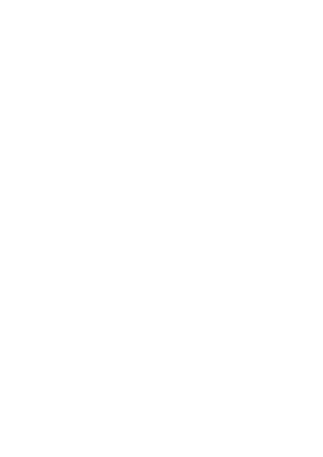| <b>CASH FLOW STATEMENT</b><br><b>MEUR</b>                    | 2016<br>Q <sub>1</sub> | 2015<br>Q1 | 2015<br>$Q_1 - Q_4$ |
|--------------------------------------------------------------|------------------------|------------|---------------------|
| OPERATING ACTIVITIES                                         |                        |            |                     |
| Profit for the period                                        | 1.6                    | 1.8        | 12.1                |
| Adjustments                                                  | 5.5                    | 3.9        | 19.0                |
| Change in working capital                                    | 15.1                   | 11.1       | 5.9                 |
| Dividends received                                           | 0.4                    | 0.1        | 1.7                 |
| Interest received                                            | 0.0                    | 0.0        | 0.1                 |
| Interest paid and other finance expenses                     | $-0.5$                 | $-0.6$     | $-1.9$              |
| Taxes paid                                                   | $-1.5$                 | $-1.5$     | $-3.7$              |
| Net cash flow from operating activities                      | 20.6                   | 14.9       | 33.2                |
| <b>INVESTING ACTIVITIES</b>                                  |                        |            |                     |
| Acquisitions of tangible and intangible assets               | $-1.3$                 | $-0.5$     | $-3.3$              |
| Proceeds from sale of tangible and intangible assets         | 0.0                    | 0.3        | 2.2                 |
| Other investments                                            | 0.0                    | $-0.1$     | $-0.1$              |
| Proceeds from sale of other investments                      | 0.0                    | 0.0        | 1.0                 |
| Acquisition of subsidiaries                                  | $-0.7$                 | $-2.3$     | $-26.8$             |
| Acquisition of associated companies                          | 0.0                    | 0.0        | $-0.5$              |
| Proceeds from sale of subsidiaries and recovered acquisition |                        |            |                     |
| cost                                                         | 0.0                    | 0.0        | 5.3                 |
| Proceeds from sale and repayment of capital of associated    |                        |            |                     |
| companies                                                    | 0.0                    | 0.0        | 0.0                 |
| Net cash flows from/(used in) investing activities           | $-2.0$                 | $-2.6$     | $-22.1$             |
| Cash flow before financing activities                        | 18.7                   | 12.3       | 11.1                |
| <b>FINANCING ACTIVITIES</b>                                  |                        |            |                     |
| Non-current loans taken                                      | 10.0                   | 0.0        | 0.0                 |
| Repayment of non-current loans                               | $-2.5$                 | 0.0        | 0.0                 |
| Current loans taken                                          |                        |            |                     |
|                                                              | 23.0                   | 20.0       | 45.0                |
| Repayment of current loans                                   | -29.9                  | $-18.5$    | -43.2               |
| Dividends paid                                               | $-9.9$                 | $-9.1$     | $-10.5$             |
| Net cash flows from/(used in) financing activities           | $-9.3$                 | $-7.6$     | $-8.7$              |
| Change in cash and cash equivalent funds                     |                        |            |                     |
| (increase +/decrease -)                                      | 9.4                    | 4.7        | 2.4                 |
| Cash and cash equivalents at beginning of period             | 14.4                   | 12.0       | 12.0                |
| Effect of change in foreign exchange rates                   | 0.0                    | 0.0        | 0.1                 |
| Cash and cash equivalents at end of period                   | 23.8                   | 16.7       | 14.4                |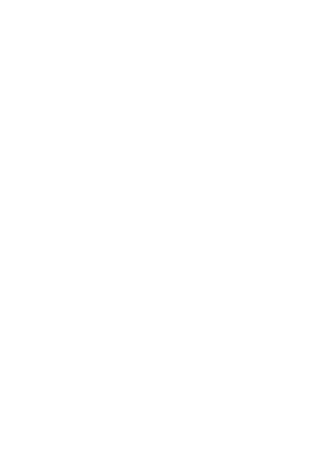## **Acquired businesses in 2016**

Alma Media has acquired the following business operations during 2016:

|                        | <b>Business</b> | Acquisition date | Acquired share | Group share |
|------------------------|-----------------|------------------|----------------|-------------|
| Alma Markets segment   |                 |                  |                |             |
| Raksa ja KotiKauppa Oy | Online service  | 1 Jan 2016       | 51%            | 33.15%      |
| Jobote s.r.o           | Online service  | 1 Jan 2016       | 100%           | 8२%         |

Information on acquired businesses is presented in combined form.

| Fair values at consolidation |
|------------------------------|
| 0.5                          |
| 0.1                          |
| 0.0                          |
| o.6                          |
|                              |
| 0.1                          |
| 0.1                          |
| 0.2                          |
|                              |
| 0.4                          |
| 0.2                          |
|                              |
| 1.0                          |
|                              |
| 0.8                          |
|                              |

The fair values entered on intangible assets in integration relate primarily to acquired ICT applications and customer relationships. Factors contributory to goodwill were the expected synergies related to these businesses.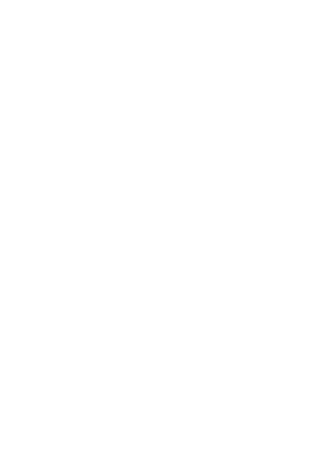#### **Contingent considerations**

Contingent considerations arising from business acquisitions are classified as financial liabilities recognised at fair value through profit or loss. The amount of the contingent considerations due to acquisitions and business arrangements is based on the revenue and operating profits of the acquired businesses in 2015 and 2016.

| <b>CONTINGENT CONSIDERATION LIABILITY</b><br><b>MEUR</b>                      |                |                |             |
|-------------------------------------------------------------------------------|----------------|----------------|-------------|
| Initial recognition of the liability                                          |                |                | 0.6         |
| Change in fair value during previous financial periods                        |                |                | 0.0         |
| Considerations, settled in cash                                               |                |                | 0.0         |
| Change in fair value during the financial period                              |                |                | 0.0         |
| Fair value of the contingent consideration liability at the end of the period |                |                | 0.6         |
|                                                                               |                |                |             |
| REVENUE BY GEOGRAPHICAL AREA                                                  | 2016           | 2015           | 2015        |
| <b>MEUR</b>                                                                   | Q <sub>1</sub> | Q <sub>1</sub> | $Q_1 - Q_4$ |
| Segments, Finland                                                             | 63.7           | 59.8           | 235.3       |
| Segments, other countries                                                     | 18.1           | 9.8            | 44.6        |
| Segments total                                                                | 81.8           | 69.6           | 280.0       |
| Non-allocated                                                                 | 5.0            | 2.3            | 11.5        |
| Group, total                                                                  | 86.7           | 71.9           | 291.5       |
|                                                                               |                |                |             |
| OPERATING PROFIT BY GEOGRAPHICAL AREA                                         | 2016           | 2015           | 2015        |
| <b>MEUR</b>                                                                   | Q <sub>1</sub> | Q <sub>1</sub> | $Q_1 - Q_4$ |
| Segments, Finland                                                             | 3.6            | 3.7            | 16.8        |
| Segments, other countries                                                     | 3.4            | 1.6            | 10.6        |
| Segments total                                                                | 7.0            | 5.3            | 27.4        |
| Non-allocated                                                                 | $-4.5$         | $-2.6$         | $-9.7$      |
| Group, total                                                                  | 2.5            | 2.7            | 17.7        |
|                                                                               |                |                |             |
| EMPLOYEES BY GEOGRAPHICAL AREA                                                | 2016           | 2015           | 2015        |
|                                                                               | Q <sub>1</sub> | Q <sub>1</sub> | $Q_1 - Q_4$ |
| Employees, Finland                                                            | 1,666          | 1,338          | 1,362       |
| Employees, other countries                                                    | 825            | 401            | 430         |
| Employees, total                                                              | 2,492          | 1,739          | 1,793       |

*\*) Revenue and operating profit by geographical area is presented in accordance with the countries in which the Group's units are located.*

#### **Information by segment**

Alma Media's segments are Alma Markets, Alma Talent, Alma News & Life and Alma Regions. The descriptive section of the interim report presents the revenue and operating profits of the segments and the allocation of the associated companies' results to the reporting segments.

The following table presents the assets and liabilities by segment, as well as the non-allocated asset and liability items.

| <b>ASSETS BY SEGMENT</b>              |               |             |             |
|---------------------------------------|---------------|-------------|-------------|
| MEUR                                  | ้ 31 Mar 2016 | 31 Mar 2015 | 31 Dec 2015 |
| Alma Markets                          | 79.7          | 80.0        | 79.7        |
| Alma Talent                           | 112.7         | 43.1        | 114.2       |
| Alma News & Life                      | 10.6          | 12.5        | 10.6        |
| Alma Regions                          | 62.0          | 66.3        | 63.2        |
| Segments total                        | 265.0         | 201.9       | 267.8       |
| Non-allocated assets and eliminations | 68.7          | 65.4        | 60.5        |
| Total                                 | 333.7         | 267.4       | 328.2       |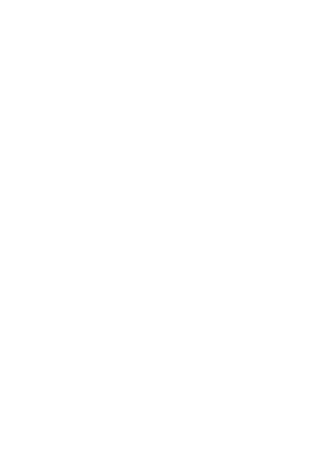| <b>LIABILITIES BY SEGMENT</b>              |             |             |             |
|--------------------------------------------|-------------|-------------|-------------|
| <b>MEUR</b>                                | 31 Mar 2016 | 31 Mar 2015 | 31 Dec 2015 |
| Alma Markets                               | 19.5        | 18.2        | 16.7        |
| Alma Talent                                | 36.8        | 11.4        | 33.5        |
| Alma News & Life                           | 1.8         | 5.0         | 3.0         |
| Alma Regions                               | 72.7        | 75.5        | 64.6        |
| Segments total                             | 130.7       | 110.2       | 117.8       |
| Non-allocated liabilities and eliminations | 82.4        | 60.4        | 81.7        |
| Total                                      | 213.1       | 170.5       | 199.5       |

## **Provisions**

The company's provisions totalled MEUR 1.0 (0.3) on 31 March 2016. It has not been necessary to change the estimates made when the provisions were entered.

## **Commitments and contingencies**

| <b>COMMITMENTS AND CONTINGENCIES</b>                       |             |             |             |
|------------------------------------------------------------|-------------|-------------|-------------|
| <b>MEUR</b>                                                | 31 Mar 2016 | 31 Mar 2015 | 31 Dec 2015 |
| Collateral for others                                      |             |             |             |
| Guarantees                                                 | 1.2         | 1.4         | 1.2         |
| Other commitments and contingencies                        | 2.2         | 1.7         | 2.5         |
| Minimum lease payments on other lease agreements:          |             |             |             |
| Within one year                                            | 8.3         | 8.6         | 11.4        |
| Within 1-5 years                                           | 27.1        | 24.9        | 37.1        |
| After 5 years                                              | 24.4        | 30.3        | 28.5        |
| Total                                                      | 59.8        | 63.8        | 76.9        |
|                                                            |             |             |             |
| In addition, the Group has purchase agreements that,       |             |             |             |
| based on IFRIC 4, include a lease component as per IAS 17. |             |             |             |
| Minimum payments based on these agreements:                | 0.1         | 0.2         | 0.1         |
|                                                            |             |             |             |
| DERIVATIVE CONTRACTS                                       |             |             |             |
| <b>MEUR</b>                                                | 31 Mar 2016 | 31 Mar 2015 | 31 Dec 2015 |
| Commodity derivative contracts, electricity derivatives    |             |             |             |
| Fair value <sup>*</sup>                                    | $-0.1$      | 0.0         | $-0.1$      |
| Nominal value                                              | 0.3         | 1.9         | 0.3         |
| Interest rate derivatives                                  |             |             |             |
| Fair value*                                                | $-0.7$      | $-0.7$      | $-0.7$      |
| Nominal value                                              | 19.5        | 19.6        | 19.5        |
| Foreign currency derivatives                               |             |             |             |
| Fair value*                                                | 0.0         | 0.0         | 0.0         |
| Nominal value                                              | 2.4         | 1.5         | 2.4         |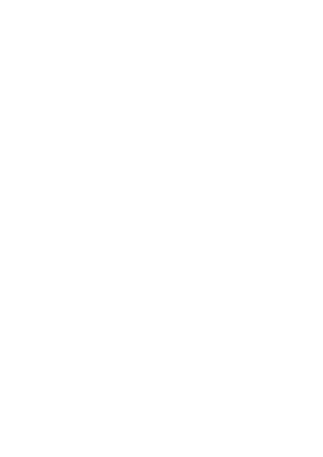## **Related party transactions**

Alma Media Group's related parties are the major shareholders of the parent company, associated companies and companies owned by them. Related parties also include the Group's senior management and their related parties (members of the Board of Directors, President and CEO and Managing Directors, and the Group Executive Team). The following table summarises the business operations undertaken between Alma Media and its related parties as well as the status of their receivables and liabilities:

| <b>RELATED PARTY TRANSACTIONS</b>                        | 2016 | 2015 | 2015        |
|----------------------------------------------------------|------|------|-------------|
| <b>MEUR</b>                                              | Q1   | Q1   | $Q_1 - Q_4$ |
| Sales of goods and services                              | 0.1  | 0.0  | 0.2         |
| Associated companies                                     | 0.0  | 0.0  | 0.2         |
| Principal shareholders                                   | 0.0  | 0.0  | 0.1         |
| Corporations where management exercises influence        | 0.0  | 0.0  | 0.0         |
| Associated companies                                     | 0.5  | 0.6  | 2.7         |
| Principal shareholders                                   | 0.0  | 0.0  | 0.1         |
| Corporations where management exercises influence        | 0.0  | 0.0  | 0.0         |
| Trade receivables, loan and other receivables at the end |      |      |             |
| of the reporting period                                  | 0.0  | 0.0  | 0.3         |
| Associated companies                                     | 0.0  | 0.0  | 0.3         |
| Trade payables at the reporting date                     | 0.0  | 0.0  | 1.1         |
| Associated companies                                     | 0.0  | 0.0  | 1.1         |

## **Share-based incentive programme**

In February 2015, The Board of Directors of Alma Media Corporation approved a share-based incentive programme for the key management of Alma Media and, in March 2016, decided to launch the share-based incentive programme (LTI 2016) based on it in 2016.

Three plans were started in spring 2015 under the programme: a fixed matching share plan and two performance matching plans. Investment in Alma Media shares is a precondition for participation. At most 43 people are eligible to participate in LTI 2016 and 35 people in LTI 2015. In each plan, the participant can earn a maximum of two matching shares for each invested share, which means that the maximum numbers of Alma Media shares that can be earned under the plans are 390,000 shares (LTI 2016) and 459,300 shares (LTI 2015) (gross amounts from which taxes are withheld).

In the fixed matching share plan, the participant receives two matching shares for each invested share free of charge after a two-year vesting period, provided that the participant holds on to the shares invested in the plan and remains employed by Alma Media Group for the duration of the vesting period, or until spring 2018 (LTI 2016) or spring 2017 (LTI 2015). The maximum numbers of matching shares that can be earned are currently 195,000 shares (LTI 2016) and 153,100 shares (LTI 2015) (gross amounts from which taxes are withheld).

In the performance matching plans, the participant may earn at most two matching shares based on the profitable growth of the digital business and at most two matching shares based on the total shareholder return of the Alma Media share. Any performance matching shares earned will be paid based on digital business growth in spring 2018 and based on the total shareholder return of the company's share in spring 2020. The maximum numbers of matching shares that can be earned under the performance matching plans are currently 390,000 shares (LTI 2016) and 153,100 shares (LTI 2015) (gross amounts from which taxes are withheld).

The Board of Directors anticipates that no new shares will be issued in connection with the new share-based incentive plan. Therefore, the plan will have no dilutive effect on the number of the company's registered shares. The Annual General Meeting of Alma Media Corporation held on 17 March 2016 authorised the Board of Directors to decide on the repurchase of a maximum of 824,000 shares in one or more lots, and further authorised the Board of Directors to decide on a share issue by transferring shares in possession of the company to implement incentive programmes.

Payment of the incentive is contingent on the participant holding on to the shares invested in the plan and remaining employed by the Group for the duration of the plans, until March 2017, 2018 and 2020. The incentives are paid partly in cash and partly in shares. The cash component is intended to cover taxes incurred by the participant from the incentive.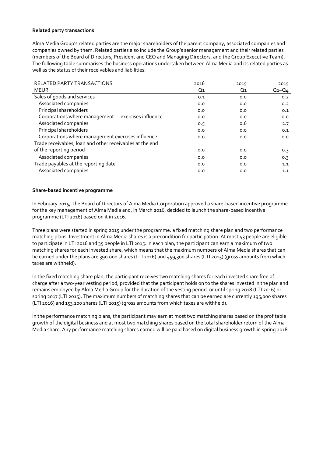The fair value of the reward is expensed until the matching shares are paid. The fair value of the share component is determined on the date on which the target group has agreed to the conditions of the plan. The financing cost arising from the obligation to hold shares and dividends expected during the vesting period have been deducted from the value of the share. The fair value of the plan based on the total shareholder return of the share also takes the market-based earning criteria into consideration. The cash component of the incentive is remeasured on each reporting date during the vesting period based on the price of the share on the date in question.

| <b>QUARTERLY INFORMATION</b>   | 2016           | 2015           | 2015       | 2015           | 2015           | 2014           | 2014   | 2014           | 2014           |
|--------------------------------|----------------|----------------|------------|----------------|----------------|----------------|--------|----------------|----------------|
| <b>MEUR</b>                    | Q <sub>1</sub> | Q <sub>4</sub> | $Q_3$      | Q <sub>2</sub> | Q <sub>1</sub> | Q <sub>4</sub> | $Q_3$  | Q <sub>2</sub> | Q <sub>1</sub> |
| <b>REVENUE</b>                 | 86.7           | 78.6           | 68.0       | 73.0           | 71.9           | 76.6           | 70.5   | 75.7           | 72.7           |
| Alma Markets                   | 16.7           | 15.9           | 14.7       | 14.7           | 13.8           | 13.9           | 12.8   | 13.1           | 12.8           |
| Alma Talent                    | 29.3           | 18.2           | 12.5       | 14.0           | 13.8           | 14.0           | 12.2   | 13.1           | 13.7           |
| Alma News & Life               | 10.9           | 11.8           | 10.4       | 11.4           | 10.6           | 11.8           | 12.0   | 13.6           | 12.3           |
| Alma Regions                   | 30.8           | 33.9           | 31.6       | 34.1           | 34.9           | 38.3           | 34.6   | 37.3           | 35.2           |
| Eliminations and non-allocated | $-0.9$         | $-1.1$         | $-1.2$     | $-1.1$         | $-1.2$         | $-1.4$         | $-1.1$ | $-1.4$         | $-1.3$         |
| TOTAL EXPENSES EXCLUDING       |                |                |            |                |                |                |        |                |                |
| NON-RECURRING ITEMS            | 81.4           | 71.7           | 60.6       | 66.4           | 70.0           | 71.2           | 63.5   | 69.5           | 70.2           |
| Alma Markets                   | 11.9           | 13.3           | 10.6       | 10.6           | 10.9           | 12.0           | 10.2   | 10.7           | 10.7           |
| Alma Talent                    | 27.2           | 16.3           | 10.4       | 12.2           | 11.9           | 12.2           | 10.0   | 11.7           | 12.4           |
| Alma News & Life               | 9.4            | 10.2           | 9.8        | 10.5           | 10.9           | 11.6           | 11.1   | 11.7           | 11.0           |
| Alma Regions                   | 29.8           | 30.6           | 29.1       | 31.7           | 34.9           | 34.7           | 32.1   | 34.5           | 35.2           |
| Eliminations and non-allocated | 3.1            | 1, 3           | 0.7        | 1.4            | 1.4            | o.6            | 0.0    | 0.9            | 0.9            |
| EBITDA EXCLUDING NON-          |                |                |            |                |                |                |        |                |                |
| <b>RECURRING ITEMS</b>         | 9.9            | 10.8           | 11.0       | 10.2           | 5.3            | 8, 9           | 10.4   |                | 6.1            |
| Alma Markets                   | 6.1            |                | 5.4        |                | 4.2            |                |        | 9.7            |                |
| Alma Talent                    | 3.2            | 3.9            |            | 5.3<br>2.1     | 2.1            | 3.3            | 4.0    | 3.7<br>1.4     | 3.5            |
| Alma News & Life               | 1.6            | 2.5<br>1.6     | 2.3<br>0.7 |                |                | 1.9<br>0.2     | 2.3    | 2.0            | 1.5            |
| Alma Regions                   | 1.8            |                |            | 0.9            | $-0.3$         |                | 0.9    |                | 1, 3<br>1.6    |
| Eliminations and non-allocated | $-2.8$         | 4.2            | 3.4        | 3.3            | 0.9            | 4.5            | 3.8    | 4.2            |                |
| OPERATING PROFIT/LOSS          |                | $-1.3$         | $-0.8$     | $-1.4$         | $-1.6$         | $-1.0$         | $-0.6$ | $-1.6$         | $-1.9$         |
| <b>EXCLUDING NON-RECURRING</b> |                |                |            |                |                |                |        |                |                |
| <b>ITEMS</b>                   |                |                |            |                |                |                |        |                |                |
| Alma Markets                   | 5.5            | 7.1            | 7.6        | 6.8            | 1.9            | 5.6            | 7.0    | 6.3            | 2.6            |
| Alma Talent                    | 4.8            | 2.6            | 4.2        | 4.1            | 2.9            | 1.9            | 2.6    | 2.4            | 2.2            |
|                                | 2.2            | 2.1            | 2.1        | 1.9            | 1.9            | 1.8            | 2.2    | 1, 3           | 1.4            |
| Alma News & Life               | 1.5            | 1.6            | 0.6        | 0.9            | $-0.4$         | 0.2            | 0.9    | 1.9            | 1, 3           |
| Alma Regions                   | $1.0$          | 3.3            | 2.6        | 2.5            | 0.0            | 3.7            | 2.5    | 2.8            | 0.0            |
| Eliminations and non-allocated | $-4.0$         | $-2.5$         | $-1.9$     | $-2.5$         | $-2.6$         | $-2.0$         | $-1.2$ | $-2.2$         | $-2.3$         |
| % OF REVENUE                   | 6.4            | 9.0            | 11.1       | 9.3            | 2.7            | 7.3            | 9.9    | 8.3            | 3.5            |
| Alma Markets                   | 29.0           | 16.5           | 28.3       | 27.7           | 21.2           | 13.8           | 20.6   | 18.4           | 17.0           |
| Alma Talent                    | 7.6            | 11.3           | 17.1       | 13.3           | 14.0           | 13.2           | 17.7   | 10.2           | 10.0           |
| Alma News & Life               | 13.9           | 13.6           | 6.0        | 7.8            | $-3.4$         | 1.4            | 7.3    | 14.1           | 10.3           |
| Alma Regions                   | 3.1            | 9.7            | 8.2        | 7.2            | $0.1\,$        | 9.7            | 7.2    | 7.5            | 0.1            |
| Non-allocated                  | 0.0            | 0.0            | 0.0        | 0.0            | 0.0            | 0.0            | 0.0    | 0.0            | 0.0            |
| NON-RECURRING ITEMS            | $-3.0$         | $-6.2$         | $-1.6$     | 1, 3           | 0.8            | $-0.8$         | $-0.5$ | $-0.2$         | 0.5            |
| Alma Markets                   | 0.0            | 0.0            | 0.0        | 0.0            | 0.0            | 1.7            | 0.0    | 0.0            | 0.0            |
| Alma Talent                    | $-1.4$         | $-0.2$         | $-1.4$     | 0.0            | 0.6            | $-0.5$         | $-0.5$ | 0.0            | 0.7            |
| Alma News & Life               | $_{0.0}$       | $-0.8$         | 0.0        | 0.0            | 0.0            | $-0.6$         | 0.0    | 0.0            | 0.0            |
| Alma Regions                   | $-1.1$         | $-3.1$         | $-0.2$     | $-0.4$         | 0.2            | $-1.5$         | 0.0    | 0.0            | $_{0.0}$       |
| Non-allocated                  | $-0.5$         | $-2.0$         | 0.0        | 1.7            | 0.0            | 0.0            | 0.0    | $-0.2$         | $-0.2$         |
| OPERATING PROFIT/LOSS          | 2.5            | 0.9            | 6.0        | 8.1            | 2.7            | 4.8            | 6.5    | 6.1            | 3.2            |
| Alma Markets                   | 4.8            | 2.6            | 4.2        | 4.1            | 2.9            | 3.6            | 2.6    | 2.4            | 2.2            |
| Alma Talent                    | 0.8            | 1.8            | 0.7        | 1.9            | 2.5            | 1.4            | 1.6    | 1, 3           | 2.1            |
| Alma News & Life               | 1.5            | 0.7            | 0.6        | 0.9            | $-0.4$         | $-0.4$         | 0.9    | 1.9            | 1, 3           |
| Alma Regions                   | $-0.2$         | 0.1            | 2.4        | 2.0            | 0.2            | 2.3            | 2.5    | 2.8            | $_{0.0}$       |
| Non-allocated                  | $-4.5$         | $-4.4$         | $-1.9$     | $-0.7$         | $-2.6$         | $-2.0$         | $-1.2$ | $-2.3$         | $-2.4$         |
| Finance income                 | 0.1            | 0.0            | 0          | 0.3            | 0.1            | 0.1            | 0.0    | 0.2            | $0.1\,$        |
| Finance expenses               | 0.8            | 1.2            | 1.2        | 0.7            | 0.6            | 0.7            | 0.8    | 0.9            | 0.8            |
| Share of profit of associated  |                |                |            |                |                |                |        |                |                |
| companies                      | 0.3            | o.8            | 0.3        | 0.2            | 0.3            | $1.1\,$        | 0.2    | 0.3            | 0.1            |
| PROFIT BEFORE TAX              | 2.1            | 1.4            | 5.1        | 8.0            | 2.4            | 5.4            | 5.9    | 5.8            | 2.7            |
| Income tax                     | $-0.5$         | $-1.1$         | $-1.4$     | $-1.6$         | -0.6           | $-1.3$         | $-1.1$ | $-1.0$         | $-0.5$         |
| PROFIT FOR THE PERIOD          | $1.6\,$        | 0.3            | 3.7        | 6.3            | 1.8            | 4.0            | 4.8    | 4.8            | 2.2            |
|                                |                |                |            |                |                |                |        |                |                |